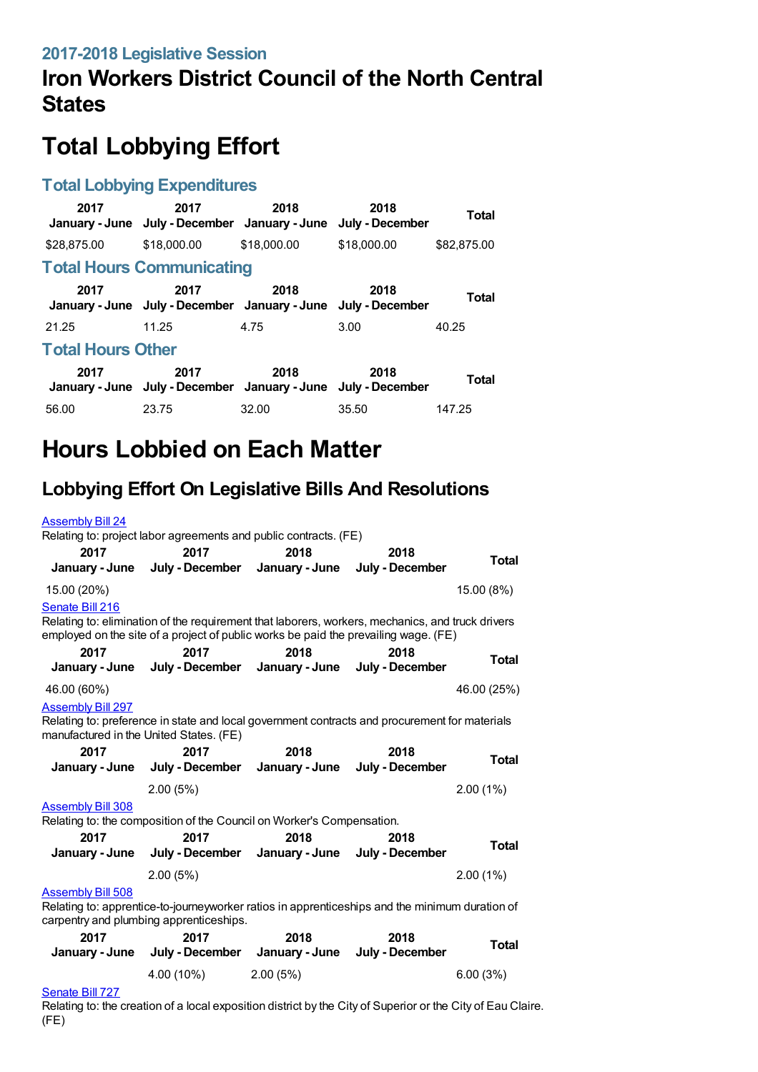## **Iron Workers District Council of the North Central States**

# **Total Lobbying Effort**

#### **Total Lobbying Expenditures**

| 2017                     | 2017<br>January - June July - December January - June July - December | 2018        | 2018        | Total        |  |  |  |
|--------------------------|-----------------------------------------------------------------------|-------------|-------------|--------------|--|--|--|
| \$28,875.00              | \$18,000.00                                                           | \$18,000.00 | \$18,000.00 | \$82,875,00  |  |  |  |
|                          | <b>Total Hours Communicating</b>                                      |             |             |              |  |  |  |
| 2017                     | 2017<br>January - June July - December January - June July - December | 2018        | 2018        | <b>Total</b> |  |  |  |
| 21.25                    | 11.25                                                                 | 4.75        | 3.00        | 40.25        |  |  |  |
| <b>Total Hours Other</b> |                                                                       |             |             |              |  |  |  |
| 2017                     | 2017<br>January - June July - December January - June July - December | 2018        | 2018        | <b>Total</b> |  |  |  |
| 56.00                    | 23.75                                                                 | 32.00       | 35.50       | 147.25       |  |  |  |

## **Hours Lobbied on Each Matter**

### **Lobbying Effort On Legislative Bills And Resolutions**

| <b>Assembly Bill 24</b>                                             | Relating to: project labor agreements and public contracts. (FE)                                                                                                                        |                                        |                         |              |
|---------------------------------------------------------------------|-----------------------------------------------------------------------------------------------------------------------------------------------------------------------------------------|----------------------------------------|-------------------------|--------------|
| 2017<br>January - June                                              | 2017<br>July - December                                                                                                                                                                 | 2018<br>January - June                 | 2018<br>July - December | <b>Total</b> |
| 15.00 (20%)                                                         |                                                                                                                                                                                         |                                        |                         | 15.00 (8%)   |
| Senate Bill 216                                                     | Relating to: elimination of the requirement that laborers, workers, mechanics, and truck drivers<br>employed on the site of a project of public works be paid the prevailing wage. (FE) |                                        |                         |              |
| 2017<br>January - June                                              | 2017                                                                                                                                                                                    | 2018<br>July - December January - June | 2018<br>July - December | <b>Total</b> |
| 46.00 (60%)                                                         |                                                                                                                                                                                         |                                        |                         | 46.00 (25%)  |
| <b>Assembly Bill 297</b><br>manufactured in the United States. (FE) | Relating to: preference in state and local government contracts and procurement for materials                                                                                           |                                        |                         |              |
| 2017                                                                | 2017<br>January - June July - December January - June                                                                                                                                   | 2018                                   | 2018<br>July - December | <b>Total</b> |
|                                                                     |                                                                                                                                                                                         |                                        |                         |              |
|                                                                     | 2.00(5%)                                                                                                                                                                                |                                        |                         | $2.00(1\%)$  |
| <b>Assembly Bill 308</b>                                            |                                                                                                                                                                                         |                                        |                         |              |
| 2017<br>January - June                                              | Relating to: the composition of the Council on Worker's Compensation.<br>2017                                                                                                           | 2018<br>July - December January - June | 2018<br>July - December | <b>Total</b> |
|                                                                     | 2.00(5%)                                                                                                                                                                                |                                        |                         | 2.00(1%)     |
| <b>Assembly Bill 508</b>                                            | Relating to: apprentice-to-journeyworker ratios in apprenticeships and the minimum duration of<br>carpentry and plumbing apprenticeships.                                               |                                        |                         |              |
| 2017                                                                | 2017<br>January - June July - December January - June                                                                                                                                   | 2018                                   | 2018<br>July - December | <b>Total</b> |
|                                                                     | 4.00 (10%)                                                                                                                                                                              | 2.00(5%)                               |                         | 6.00(3%)     |

#### [Senate](https://lobbying.wi.gov/What/BillInformation/2017REG/Information/15509?tab=Efforts) Bill 727

Relating to: the creation of a local exposition district by the City of Superior or the City of Eau Claire. (FE)